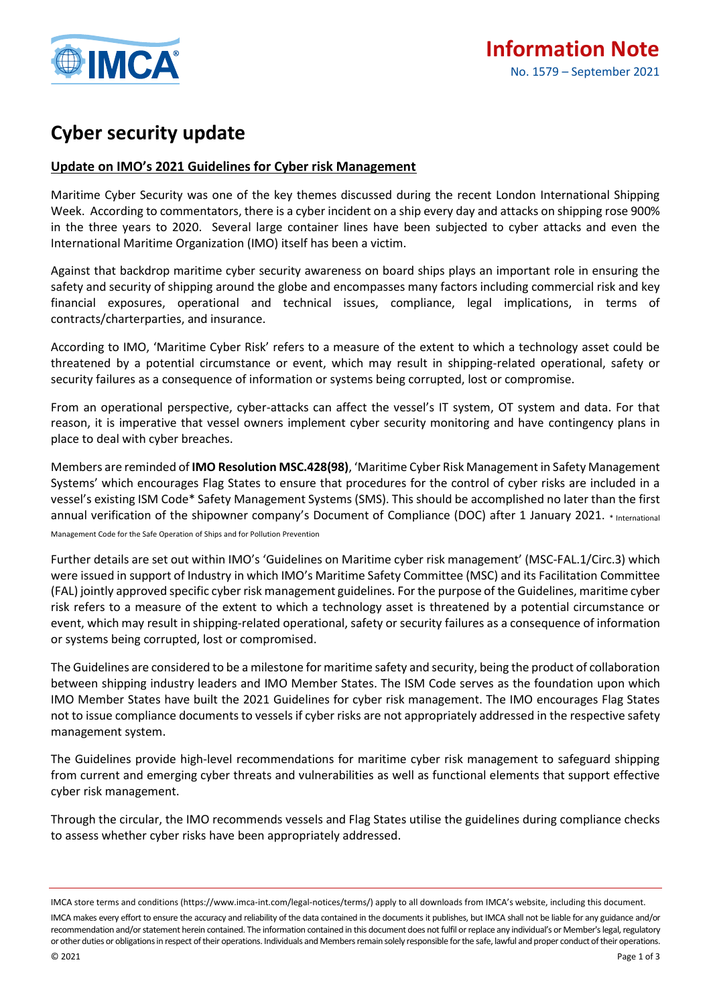

## **Cyber security update**

## **Update on IMO's 2021 Guidelines for Cyber risk Management**

Maritime Cyber Security was one of the key themes discussed during the recent London International Shipping Week. According to commentators, there is a cyber incident on a ship every day and attacks on shipping rose 900% in the three years to 2020. Several large container lines have been subjected to cyber attacks and even the International Maritime Organization (IMO) itself has been a victim.

Against that backdrop maritime cyber security awareness on board ships plays an important role in ensuring the safety and security of shipping around the globe and encompasses many factors including commercial risk and key financial exposures, operational and technical issues, compliance, legal implications, in terms of contracts/charterparties, and insurance.

According to IMO, 'Maritime Cyber Risk' refers to a measure of the extent to which a technology asset could be threatened by a potential circumstance or event, which may result in shipping-related operational, safety or security failures as a consequence of information or systems being corrupted, lost or compromise.

From an operational perspective, cyber-attacks can affect the vessel's IT system, OT system and data. For that reason, it is imperative that vessel owners implement cyber security monitoring and have contingency plans in place to deal with cyber breaches.

Members are reminded of **IMO Resolution MSC.428(98)**, 'Maritime Cyber Risk Management in Safety Management Systems' which encourages Flag States to ensure that procedures for the control of cyber risks are included in a vessel's existing ISM Code\* Safety Management Systems (SMS). This should be accomplished no later than the first annual verification of the shipowner company's Document of Compliance (DOC) after 1 January 2021. \* International

Management Code for the Safe Operation of Ships and for Pollution Prevention

Further details are set out within IMO's 'Guidelines on Maritime cyber risk management' (MSC-FAL.1/Circ.3) which were issued in support of Industry in which IMO's Maritime Safety Committee (MSC) and its Facilitation Committee (FAL) jointly approved specific cyber risk management guidelines. For the purpose of the Guidelines, maritime cyber risk refers to a measure of the extent to which a technology asset is threatened by a potential circumstance or event, which may result in shipping-related operational, safety or security failures as a consequence of information or systems being corrupted, lost or compromised.

The Guidelines are considered to be a milestone for maritime safety and security, being the product of collaboration between shipping industry leaders and IMO Member States. The ISM Code serves as the foundation upon which IMO Member States have built the 2021 Guidelines for cyber risk management. The IMO encourages Flag States not to issue compliance documents to vessels if cyber risks are not appropriately addressed in the respective safety management system.

The Guidelines provide high-level recommendations for maritime cyber risk management to safeguard shipping from current and emerging cyber threats and vulnerabilities as well as functional elements that support effective cyber risk management.

Through the circular, the IMO recommends vessels and Flag States utilise the guidelines during compliance checks to assess whether cyber risks have been appropriately addressed.

IMCA store terms and conditions (https://www.imca-int.com/legal-notices/terms/) apply to all downloads from IMCA's website, including this document.

IMCA makes every effort to ensure the accuracy and reliability of the data contained in the documents it publishes, but IMCA shall not be liable for any guidance and/or recommendation and/or statement herein contained. The information contained in this document does not fulfil or replace any individual's or Member's legal, regulatory or other duties or obligations in respect of their operations. Individuals and Members remain solely responsible for the safe, lawful and proper conduct of their operations.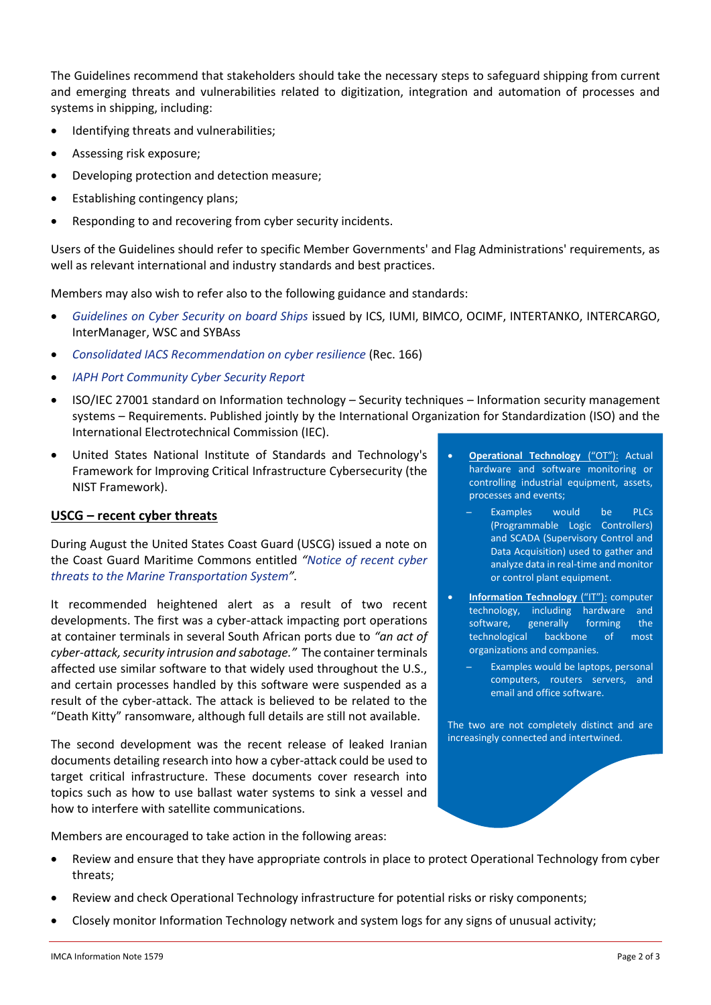The Guidelines recommend that stakeholders should take the necessary steps to safeguard shipping from current and emerging threats and vulnerabilities related to digitization, integration and automation of processes and systems in shipping, including:

- Identifying threats and vulnerabilities;
- Assessing risk exposure;
- Developing protection and detection measure;
- Establishing contingency plans;
- Responding to and recovering from cyber security incidents.

Users of the Guidelines should refer to specific Member Governments' and Flag Administrations' requirements, as well as relevant international and industry standards and best practices.

Members may also wish to refer also to the following guidance and standards:

- *[Guidelines on Cyber Security on board Ships](https://eur03.safelinks.protection.outlook.com/?url=https%3A%2F%2Fwwwcdn.imo.org%2Flocalresources%2Fen%2FOurWork%2FSecurity%2FDocuments%2FANNEX%2520Guidelines%2520on%2520Cyber%2520Security%2520Onboard%2520Ships%2520v.4.pdf&data=04%7C01%7CNicholas.Hough%40imca-int.com%7C35a1c404a54a4329e66c08d97db70511%7C357330a733f24febad2efc01400718b0%7C0%7C0%7C637679047415687213%7CUnknown%7CTWFpbGZsb3d8eyJWIjoiMC4wLjAwMDAiLCJQIjoiV2luMzIiLCJBTiI6Ik1haWwiLCJXVCI6Mn0%3D%7C1000&sdata=%2F6NyidoxqTEuOwS3wjxP97DkiQhi1tt3jqJev4bgFhY%3D&reserved=0)* issued by ICS, IUMI, BIMCO, OCIMF, INTERTANKO, INTERCARGO, InterManager, WSC and SYBAss
- *[Consolidated IACS Recommendation on cyber resilience](https://eur03.safelinks.protection.outlook.com/?url=https%3A%2F%2Fwww.iacs.org.uk%2Fpublications%2Frecommendations%2F161-180%2Frec-166-new-corr1%2F&data=04%7C01%7CNicholas.Hough%40imca-int.com%7C35a1c404a54a4329e66c08d97db70511%7C357330a733f24febad2efc01400718b0%7C0%7C0%7C637679047415687213%7CUnknown%7CTWFpbGZsb3d8eyJWIjoiMC4wLjAwMDAiLCJQIjoiV2luMzIiLCJBTiI6Ik1haWwiLCJXVCI6Mn0%3D%7C1000&sdata=SxnCq71N3ipmbBshtuVP9yvtxB%2FkY4%2BDIdq%2BUB%2BToL0%3D&reserved=0)* (Rec. 166)
- *[IAPH Port Community Cyber Security Report](https://eur03.safelinks.protection.outlook.com/?url=https%3A%2F%2Fsustainableworldports.org%2Fwp-content%2Fuploads%2FIAPH-Port-Community-Cyber-Security-Report-Q2-2020.pdf&data=04%7C01%7CNicholas.Hough%40imca-int.com%7C35a1c404a54a4329e66c08d97db70511%7C357330a733f24febad2efc01400718b0%7C0%7C0%7C637679047415687213%7CUnknown%7CTWFpbGZsb3d8eyJWIjoiMC4wLjAwMDAiLCJQIjoiV2luMzIiLCJBTiI6Ik1haWwiLCJXVCI6Mn0%3D%7C1000&sdata=vGAacWODn5okRkun9JqUA8M39VlXGA5FQOQhJD50QqE%3D&reserved=0)*
- ISO/IEC 27001 standard on Information technology Security techniques Information security management systems – Requirements. Published jointly by the International Organization for Standardization (ISO) and the International Electrotechnical Commission (IEC).
- United States National Institute of Standards and Technology's Framework for Improving Critical Infrastructure Cybersecurity (the NIST Framework).

## **USCG – recent cyber threats**

During August the United States Coast Guard (USCG) issued a note on the Coast Guard Maritime Commons entitled *"[Notice of recent cyber](https://mariners.coastguard.blog/2021/08/06/notice-of-recent-cyber-threats-to-the-marine-transportation-system/)  [threats to the Marine Transportation System](https://mariners.coastguard.blog/2021/08/06/notice-of-recent-cyber-threats-to-the-marine-transportation-system/)".*

It recommended heightened alert as a result of two recent developments. The first was a cyber-attack impacting port operations at container terminals in several South African ports due to *"an act of cyber-attack, security intrusion and sabotage."* The container terminals affected use similar software to that widely used throughout the U.S., and certain processes handled by this software were suspended as a result of the cyber-attack. The attack is believed to be related to the "Death Kitty" ransomware, although full details are still not available.

The second development was the recent release of leaked Iranian documents detailing research into how a cyber-attack could be used to target critical infrastructure. These documents cover research into topics such as how to use ballast water systems to sink a vessel and how to interfere with satellite communications.

Members are encouraged to take action in the following areas:

- Review and ensure that they have appropriate controls in place to protect Operational Technology from cyber threats;
- Review and check Operational Technology infrastructure for potential risks or risky components;
- Closely monitor Information Technology network and system logs for any signs of unusual activity;
- **Operational Technology** ("OT"): Actual hardware and software monitoring or controlling industrial equipment, assets, processes and events;
	- Examples would be PLCs (Programmable Logic Controllers) and SCADA (Supervisory Control and Data Acquisition) used to gather and analyze data in real-time and monitor or control plant equipment.
- **Information Technology** ("IT"): computer technology, including hardware and software, generally forming the technological backbone of most organizations and companies.
	- Examples would be laptops, personal computers, routers servers, and email and office software.

The two are not completely distinct and are increasingly connected and intertwined.